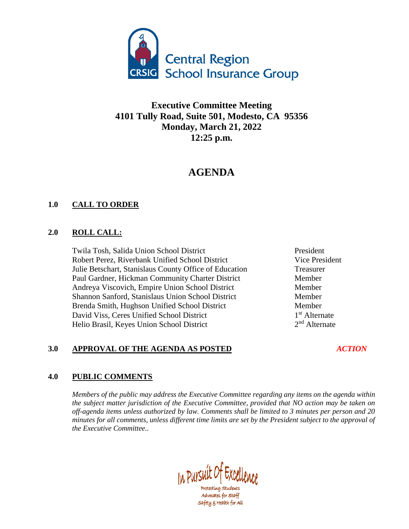

**Executive Committee Meeting 4101 Tully Road, Suite 501, Modesto, CA 95356 Monday, March 21, 2022 12:25 p.m.**

# **AGENDA**

## **1.0 CALL TO ORDER**

#### **2.0 ROLL CALL:**

Twila Tosh, Salida Union School District President Robert Perez, Riverbank Unified School District Vice President Julie Betschart, Stanislaus County Office of Education Treasurer Paul Gardner, Hickman Community Charter District Member Andreya Viscovich, Empire Union School District Member Shannon Sanford, Stanislaus Union School District Member Brenda Smith, Hughson Unified School District Member David Viss, Ceres Unified School District 1 Helio Brasil, Keyes Union School District 2

1<sup>st</sup> Alternate  $2<sup>nd</sup>$  Alternate

# **3.0 APPROVAL OF THE AGENDA AS POSTED** *ACTION*

### **4.0 PUBLIC COMMENTS**

*Members of the public may address the Executive Committee regarding any items on the agenda within the subject matter jurisdiction of the Executive Committee, provided that NO action may be taken on off-agenda items unless authorized by law. Comments shall be limited to 3 minutes per person and 20 minutes for all comments, unless different time limits are set by the President subject to the approval of the Executive Committee..*

In Pursuit Of Excellence

Protecting Students Advocates for Staff safety & Health for All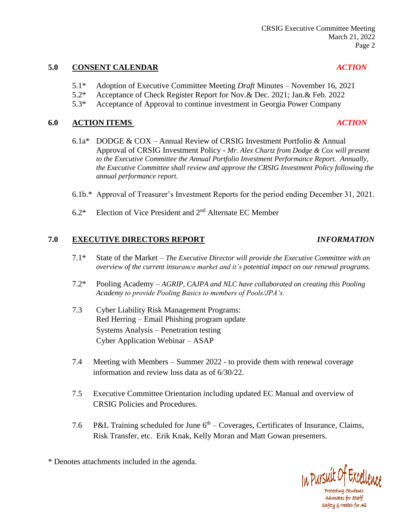#### **5.0 CONSENT CALENDAR** *ACTION*

- 5.1\* Adoption of Executive Committee Meeting *Draft* Minutes November 16, 2021
- 5.2\* Acceptance of Check Register Report for Nov.& Dec. 2021; Jan.& Feb. 2022
- 5.3\* Acceptance of Approval to continue investment in Georgia Power Company

#### **6.0 ACTION ITEMS** *ACTION*

- 6.1a\* DODGE & COX Annual Review of CRSIG Investment Portfolio & Annual Approval of CRSIG Investment Policy - *Mr. Alex Chartz from Dodge & Cox will present to the Executive Committee the Annual Portfolio Investment Performance Report. Annually, the Executive Committee shall review and approve the CRSIG Investment Policy following the annual performance report.*
- 6.1b.\* Approval of Treasurer's Investment Reports for the period ending December 31, 2021.
- 6.2\* Election of Vice President and 2nd Alternate EC Member

### **7.0 EXECUTIVE DIRECTORS REPORT** *INFORMATION*

- 7.1\* State of the Market *The Executive Director will provide the Executive Committee with an overview of the current insurance market and it's potential impact on our renewal programs.*
- 7.2\* Pooling Academy *AGRIP, CAJPA and NLC have collaborated on creating this Pooling Academy to provide Pooling Basics to members of Pools/JPA's.*
- 7.3 Cyber Liability Risk Management Programs: Red Herring – Email Phishing program update Systems Analysis – Penetration testing Cyber Application Webinar – ASAP
- 7.4 Meeting with Members Summer 2022 to provide them with renewal coverage information and review loss data as of 6/30/22.
- 7.5 Executive Committee Orientation including updated EC Manual and overview of CRSIG Policies and Procedures.
- 7.6 P&L Training scheduled for June  $6<sup>th</sup>$  Coverages, Certificates of Insurance, Claims, Risk Transfer, etc. Erik Knak, Kelly Moran and Matt Gowan presenters.

\* Denotes attachments included in the agenda.



Protecting Students Advocates for Staff safety & Health for All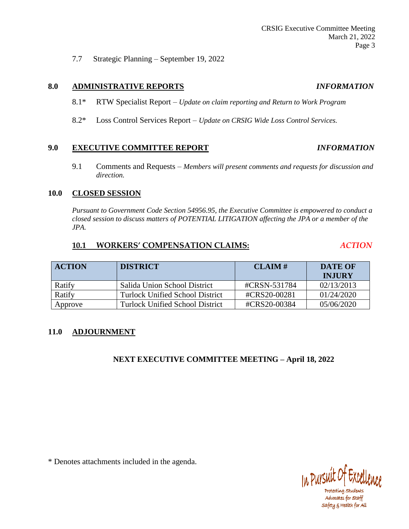7.7 Strategic Planning – September 19, 2022

#### **8.0 ADMINISTRATIVE REPORTS** *INFORMATION*

- 8.1\* RTW Specialist Report *Update on claim reporting and Return to Work Program*
- 8.2\* Loss Control Services Report *Update on CRSIG Wide Loss Control Services.*

#### **9.0 EXECUTIVE COMMITTEE REPORT** *INFORMATION*

9.1 Comments and Requests – *Members will present comments and requests for discussion and direction.*

#### **10.0 CLOSED SESSION**

*Pursuant to Government Code Section 54956.95, the Executive Committee is empowered to conduct a closed session to discuss matters of POTENTIAL LITIGATION affecting the JPA or a member of the JPA.*

#### **10.1 WORKERS' COMPENSATION CLAIMS:** *ACTION*

| <b>ACTION</b> | <b>DISTRICT</b>                        | CLAIM#       | <b>DATE OF</b><br><b>INJURY</b> |
|---------------|----------------------------------------|--------------|---------------------------------|
| Ratify        | Salida Union School District           | #CRSN-531784 | 02/13/2013                      |
| Ratify        | Turlock Unified School District        | #CRS20-00281 | 01/24/2020                      |
| Approve       | <b>Turlock Unified School District</b> | #CRS20-00384 | 05/06/2020                      |

### **11.0 ADJOURNMENT**

### **NEXT EXECUTIVE COMMITTEE MEETING – April 18, 2022**

\* Denotes attachments included in the agenda.